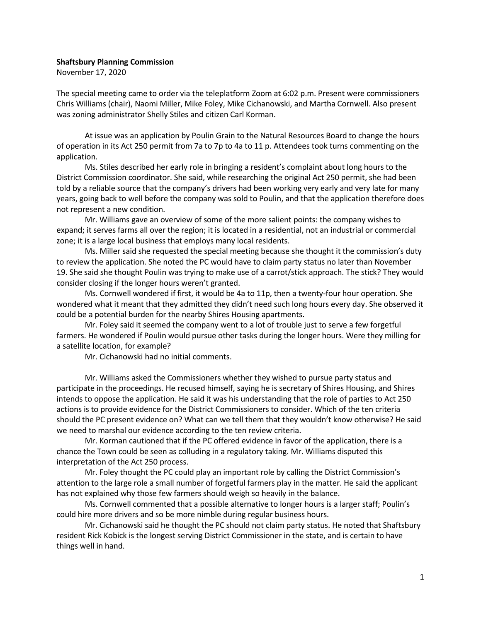## Shaftsbury Planning Commission

November 17, 2020

The special meeting came to order via the teleplatform Zoom at 6:02 p.m. Present were commissioners Chris Williams (chair), Naomi Miller, Mike Foley, Mike Cichanowski, and Martha Cornwell. Also present was zoning administrator Shelly Stiles and citizen Carl Korman.

At issue was an application by Poulin Grain to the Natural Resources Board to change the hours of operation in its Act 250 permit from 7a to 7p to 4a to 11 p. Attendees took turns commenting on the application.

Ms. Stiles described her early role in bringing a resident's complaint about long hours to the District Commission coordinator. She said, while researching the original Act 250 permit, she had been told by a reliable source that the company's drivers had been working very early and very late for many years, going back to well before the company was sold to Poulin, and that the application therefore does not represent a new condition.

Mr. Williams gave an overview of some of the more salient points: the company wishes to expand; it serves farms all over the region; it is located in a residential, not an industrial or commercial zone; it is a large local business that employs many local residents.

Ms. Miller said she requested the special meeting because she thought it the commission's duty to review the application. She noted the PC would have to claim party status no later than November 19. She said she thought Poulin was trying to make use of a carrot/stick approach. The stick? They would consider closing if the longer hours weren't granted.

Ms. Cornwell wondered if first, it would be 4a to 11p, then a twenty-four hour operation. She wondered what it meant that they admitted they didn't need such long hours every day. She observed it could be a potential burden for the nearby Shires Housing apartments.

Mr. Foley said it seemed the company went to a lot of trouble just to serve a few forgetful farmers. He wondered if Poulin would pursue other tasks during the longer hours. Were they milling for a satellite location, for example?

Mr. Cichanowski had no initial comments.

Mr. Williams asked the Commissioners whether they wished to pursue party status and participate in the proceedings. He recused himself, saying he is secretary of Shires Housing, and Shires intends to oppose the application. He said it was his understanding that the role of parties to Act 250 actions is to provide evidence for the District Commissioners to consider. Which of the ten criteria should the PC present evidence on? What can we tell them that they wouldn't know otherwise? He said we need to marshal our evidence according to the ten review criteria.

Mr. Korman cautioned that if the PC offered evidence in favor of the application, there is a chance the Town could be seen as colluding in a regulatory taking. Mr. Williams disputed this interpretation of the Act 250 process.

Mr. Foley thought the PC could play an important role by calling the District Commission's attention to the large role a small number of forgetful farmers play in the matter. He said the applicant has not explained why those few farmers should weigh so heavily in the balance.

Ms. Cornwell commented that a possible alternative to longer hours is a larger staff; Poulin's could hire more drivers and so be more nimble during regular business hours.

Mr. Cichanowski said he thought the PC should not claim party status. He noted that Shaftsbury resident Rick Kobick is the longest serving District Commissioner in the state, and is certain to have things well in hand.